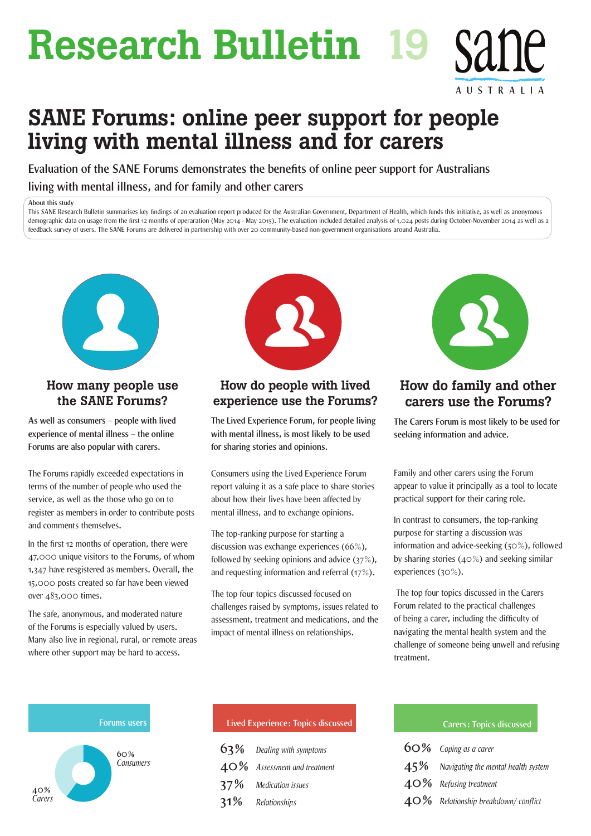# Research Bulletin 19

# SANE Forums: online peer support for people living with mental illness and for carers

**Evaluation of the SANE Forums demonstrates the benefits of online peer support for Australians living with mental illness, and for family and other carers**

#### **About this study**

This SANE Research Bulletin summarises key findings of an evaluation report produced for the Australian Government, Department of Health, which funds this initiative, as well as anonymous demographic data on usage from the first 12 months of operaration (May 2014 - May 2015). The evaluation included detailed analysis of 1,024 posts during October-November 2014 as well as a feedback survey of users. The SANE Forums are delivered in partnership with over 20 community-based non-government organisations around Australia.



## How many people use the SANE Forums?

**As well as consumers – people with lived experience of mental illness – the online Forums are also popular with carers.**

The Forums rapidly exceeded expectations in terms of the number of people who used the service, as well as the those who go on to register as members in order to contribute posts and comments themselves.

In the first 12 months of operation, there were 47,000 unique visitors to the Forums, of whom 1,347 have resgistered as members. Overall, the 15,000 posts created so far have been viewed over 483,000 times.

The safe, anonymous, and moderated nature of the Forums is especially valued by users. Many also live in regional, rural, or remote areas where other support may be hard to access.



## How do people with lived experience use the Forums?

**The Lived Experience Forum, for people living with mental illness, is most likely to be used for sharing stories and opinions.**

Consumers using the Lived Experience Forum report valuing it as a safe place to share stories about how their lives have been affected by mental illness, and to exchange opinions.

The top-ranking purpose for starting a discussion was exchange experiences (66%), followed by seeking opinions and advice (37%), and requesting information and referral (17%).

The top four topics discussed focused on challenges raised by symptoms, issues related to assessment, treatment and medications, and the impact of mental illness on relationships.



AUSTRALIA

## How do family and other carers use the Forums?

**The Carers Forum is most likely to be used for seeking information and advice.**

Family and other carers using the Forum appear to value it principally as a tool to locate practical support for their caring role.

In contrast to consumers, the top-ranking purpose for starting a discussion was information and advice-seeking (50%), followed by sharing stories (40%) and seeking similar experiences (30%).

 The top four topics discussed in the Carers Forum related to the practical challenges of being a carer, including the difficulty of navigating the mental health system and the challenge of someone being unwell and refusing treatment.



| Lived Experience: Topics discussed |                                 |  |
|------------------------------------|---------------------------------|--|
|                                    | $63\%$ Dealing with symptoms    |  |
|                                    | $40\%$ Assessment and treatment |  |
|                                    | 37% Medication issues           |  |
|                                    | 31% Relationships               |  |

#### **Lived Experience: Topics discussed Carers: Topics discussed**

| 60% Coping as a carer                      |
|--------------------------------------------|
| $45\%$ Navigating the mental health system |
| $40\%$ Refusing treatment                  |
| $40\%$ Relationship breakdown/conflict     |